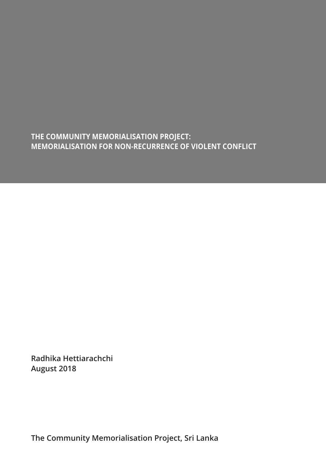**THE COMMUNITY MEMORIALISATION PROJECT: MEMORIALISATION FOR NON-RECURRENCE OF VIOLENT CONFLICT**

**Radhika Hettiarachchi August 2018**

**The Community Memorialisation Project, Sri Lanka**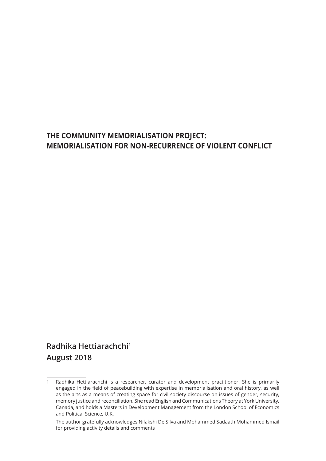# **THE COMMUNITY MEMORIALISATION PROJECT: MEMORIALISATION FOR NON-RECURRENCE OF VIOLENT CONFLICT**

# **Radhika Hettiarachchi1 August 2018**

<sup>1</sup> Radhika Hettiarachchi is a researcher, curator and development practitioner. She is primarily engaged in the field of peacebuilding with expertise in memorialisation and oral history, as well as the arts as a means of creating space for civil society discourse on issues of gender, security, memory justice and reconciliation. She read English and Communications Theory at York University, Canada, and holds a Masters in Development Management from the London School of Economics and Political Science, U.K.

The author gratefully acknowledges Nilakshi De Silva and Mohammed Sadaath Mohammed Ismail for providing activity details and comments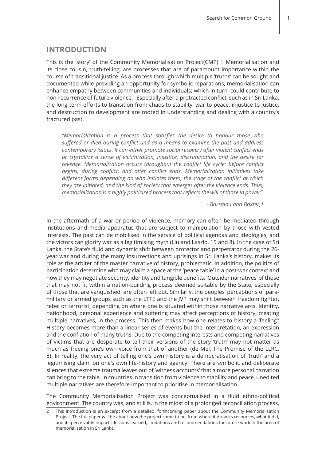## **INTRODUCTION**

This is the 'story' of the Community Memorialisation Project(CMP) 2. Memorialisation and its close cousin, truth-telling, are processes that are of paramount importance within the course of transitional justice. As a process through which multiple 'truths' can be sought and documented while providing an opportunity for symbolic reparations, memorialisation can enhance empathy between communities and individuals; which in turn, could contribute to non-recurrence of future violence. Especially after a protracted conflict, such as in Sri Lanka, the long-term efforts to transition from chaos to stability, war to peace, injustice to justice, and destruction to development are rooted in understanding and dealing with a country's fractured past.

*"Memorialization is a process that satisfies the desire to honour those who suffered or died during conflict and as a means to examine the past and address contemporary issues. It can either promote social recovery after violent conflict ends or crystallize a sense of victimization, injustice, discrimination, and the desire for revenge. Memorialization occurs throughout the conflict life cycle: before conflict begins, during conflict, and after conflict ends. Memorialization initiatives take different forms depending on who initiates them, the stage of the conflict at which they are initiated, and the kind of society that emerges after the violence ends. Thus, memorialization is a highly politicized process that reflects the will of those in power".* 

*- Barsalou and Baxter,1* 

In the aftermath of a war or period of violence, memory can often be mediated through institutions and media apparatus that are subject to manipulation by those with vested interests. The past can be mobilised in the service of political agendas and ideologies, and the victors can glorify war as a legitimising myth (Liu and Laszlo, 15 and 8). In the case of Sri Lanka, the State's fluid and dynamic shift between protector and perpetrator during the 26 year war and during the many insurrections and uprisings in Sri Lanka's history, makes its role as the arbiter of the master narrative of history, problematic. In addition, the politics of participation determine who may claim a space at the 'peace table' in a post-war context and how they may negotiate security, identity and tangible benefits. 'Outsider narratives' of those that may not fit within a nation-building process deemed suitable by the State, especially of those that are vanquished, are often left out. Similarly, the peoples' perceptions of paramilitary or armed groups such as the LTTE and the JVP may shift between freedom fighter, rebel or terrorist, depending on where one is situated within those narrative arcs. Identity, nationhood, personal experience and suffering may affect perceptions of history, creating multiple narratives, in the process. This then makes how one relates to history a 'feeling': History becomes more than a linear series of events but the interpretation, an expression and the conflation of many truths. Due to the competing interests and competing narratives of victims that are desperate to tell their versions of the story 'truth' may not matter as much as freeing one's own voice from that of another (de Mel, The Promise of the LLRC, 8). In reality, the very act of telling one's own history is a democratisation of 'truth' and a legitimising claim on one's own life-history and agency. There are symbolic and deliberate silences that extreme trauma leaves out of 'witness accounts' that a more personal narration can bring to the table. In countries in transition from violence to stability and peace, unedited multiple narratives are therefore important to prioritise in memorialisation.

The Community Memorialisation Project was conceptualised in a fluid ethno-political environment. The country was, and still is, in the midst of a prolonged reconciliation process,

<sup>2</sup> This introduction is an excerpt from a detailed, forthcoming paper about the Community Memorialisation Project. The full paper will be about how the project came to be, from where it drew its resources, what it did, and its perceivable impacts, lessons learned, limitations and recommendations for future work in the area of memorialisation in Sri Lanka.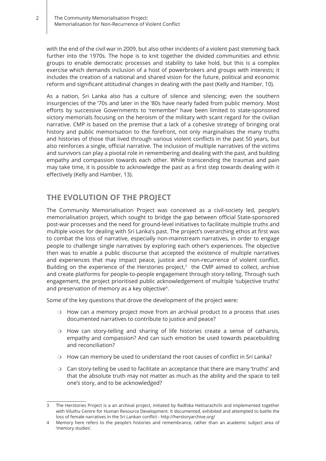with the end of the civil war in 2009, but also other incidents of a violent past stemming back further into the 1970s. The hope is to knit together the divided communities and ethnic groups to enable democratic processes and stability to take hold, but this is a complex exercise which demands inclusion of a host of powerbrokers and groups with interests; it includes the creation of a national and shared vision for the future, political and economic reform and significant attitudinal changes in dealing with the past (Kelly and Hamber, 10).

As a nation, Sri Lanka also has a culture of silence and silencing; even the southern insurgencies of the '70s and later in the '80s have nearly faded from public memory. Most efforts by successive Governments to 'remember' have been limited to state-sponsored victory memorials focusing on the heroism of the military with scant regard for the civilian narrative. CMP is based on the premise that a lack of a cohesive strategy of bringing oral history and public memorisation to the forefront, not only marginalises the many truths and histories of those that lived through various violent conflicts in the past 50 years, but also reinforces a single, official narrative. The inclusion of multiple narratives of the victims and survivors can play a pivotal role in remembering and dealing with the past, and building empathy and compassion towards each other. While transcending the traumas and pain may take time, it is possible to acknowledge the past as a first step towards dealing with it effectively (Kelly and Hamber, 13).

# **THE EVOLUTION OF THE PROJECT**

The Community Memorialisation Project was conceived as a civil-society led, people's memorialisation project, which sought to bridge the gap between official State-sponsored post-war processes and the need for ground-level initiatives to facilitate multiple truths and multiple voices for dealing with Sri Lanka's past. The project's overarching ethos at first was to combat the loss of narrative, especially non-mainstream narratives, in order to engage people to challenge single narratives by exploring each other's experiences. The objective then was to enable a public discourse that accepted the existence of multiple narratives and experiences that may impact peace, justice and non-recurrence of violent conflict. Building on the experience of the Herstories project, $3$  the CMP aimed to collect, archive and create platforms for people-to-people engagement through story-telling. Through such engagement, the project prioritised public acknowledgement of multiple 'subjective truths' and preservation of memory as a key objective<sup>4</sup>.

Some of the key questions that drove the development of the project were:

- ❍ How can a memory project move from an archival product to a process that uses documented narratives to contribute to justice and peace?
- ❍ How can story-telling and sharing of life histories create a sense of catharsis, empathy and compassion? And can such emotion be used towards peacebuilding and reconciliation?
- ❍ How can memory be used to understand the root causes of conflict in Sri Lanka?
- ❍ Can story-telling be used to facilitate an acceptance that there are many 'truths' and that the absolute truth may not matter as much as the ability and the space to tell one's story, and to be acknowledged?

<sup>3</sup> The Herstories Project is a an archival project, initiated by Radhika Hettiarachchi and implemented together with Viluthu Centre for Human Resource Development. It documented, exhibited and attempted to battle the loss of female narratives in the Sri Lankan conflict - http://herstoryarchive.org/

<sup>4</sup> Memory here refers to the people's histories and remembrance, rather than an academic subject area of 'memory studies'.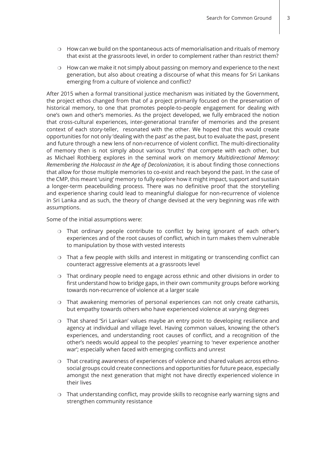- $\circ$  How can we build on the spontaneous acts of memorialisation and rituals of memory that exist at the grassroots level, in order to complement rather than restrict them?
- ❍ How can we make it not simply about passing on memory and experience to the next generation, but also about creating a discourse of what this means for Sri Lankans emerging from a culture of violence and conflict?

After 2015 when a formal transitional justice mechanism was initiated by the Government, the project ethos changed from that of a project primarily focused on the preservation of historical memory, to one that promotes people-to-people engagement for dealing with one's own and other's memories. As the project developed, we fully embraced the notion that cross-cultural experiences, inter-generational transfer of memories and the present context of each story-teller, resonated with the other. We hoped that this would create opportunities for not only 'dealing with the past' as the past, but to evaluate the past, present and future through a new lens of non-recurrence of violent conflict. The multi-directionality of memory then is not simply about various 'truths' that compete with each other, but as Michael Rothberg explores in the seminal work on memory *Multidirectional Memory: Remembering the Holocaust in the Age of Decolonization,* it is about finding those connections that allow for those multiple memories to co-exist and reach beyond the past. In the case of the CMP, this meant 'using' memory to fully explore how it might impact, support and sustain a longer-term peacebuilding process. There was no definitive proof that the storytelling and experience sharing could lead to meaningful dialogue for non-recurrence of violence in Sri Lanka and as such, the theory of change devised at the very beginning was rife with assumptions.

Some of the initial assumptions were:

- ❍ That ordinary people contribute to conflict by being ignorant of each other's experiences and of the root causes of conflict, which in turn makes them vulnerable to manipulation by those with vested interests
- ❍ That a few people with skills and interest in mitigating or transcending conflict can counteract aggressive elements at a grassroots level
- ❍ That ordinary people need to engage across ethnic and other divisions in order to first understand how to bridge gaps, in their own community groups before working towards non-recurrence of violence at a larger scale
- ❍ That awakening memories of personal experiences can not only create catharsis, but empathy towards others who have experienced violence at varying degrees
- ❍ That shared 'Sri Lankan' values maybe an entry point to developing resilience and agency at individual and village level. Having common values, knowing the other's experiences, and understanding root causes of conflict, and a recognition of the other's needs would appeal to the peoples' yearning to 'never experience another war'; especially when faced with emerging conflicts and unrest
- ❍ That creating awareness of experiences of violence and shared values across ethnosocial groups could create connections and opportunities for future peace, especially amongst the next generation that might not have directly experienced violence in their lives
- ❍ That understanding conflict, may provide skills to recognise early warning signs and strengthen community resistance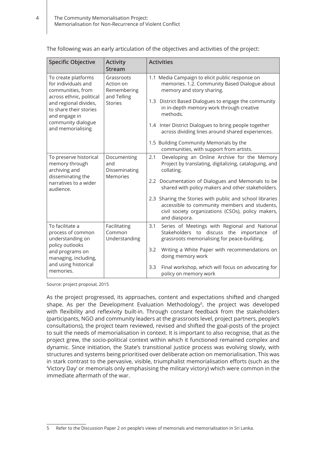**Specific Objective Activity Stream Activities** To create platforms for individuals and communities, from across ethnic, political and regional divides, to share their stories and engage in community dialogue and memorialising Grassroots Action on Remembering and Telling Stories 1.1 Media Campaign to elicit public response on memories. 1.2. Community Based Dialogue about memory and story sharing. 1.3 District Based Dialogues to engage the community in in-depth memory work through creative methods. 1.4 Inter District Dialogues to bring people together across dividing lines around shared experiences. 1.5 Building Community Memorials by the communities, with support from artists. To preserve historical memory through archiving and disseminating the narratives to a wider audience. Documenting and Disseminating Memories 2.1 Developing an Online Archive for the Memory Project by translating, digitalizing, cataloguing, and collating. 2.2 Documentation of Dialogues and Memorials to be shared with policy makers and other stakeholders. 2.3 Sharing the Stories with public and school libraries accessible to community members and students, civil society organizations (CSOs), policy makers, and diaspora. To facilitate a process of common understanding on policy outlooks and programs on managing, including, and using historical memories. Facilitating Common Understanding 3.1 Series of Meetings with Regional and National Stakeholders to discuss the importance of grassroots memorialising for peace-building. 3.2 Writing a White Paper with recommendations on doing memory work 3.3 Final workshop, which will focus on advocating for policy on memory work

The following was an early articulation of the objectives and activities of the project:

Source: project proposal, 2015

As the project progressed, its approaches, content and expectations shifted and changed shape. As per the Development Evaluation Methodology<sup>5</sup>, the project was developed with flexibility and reflexivity built-in. Through constant feedback from the stakeholders (participants, NGO and community leaders at the grassroots level, project partners, people's consultations), the project team reviewed, revised and shifted the goal-posts of the project to suit the needs of memorialisation in context. It is important to also recognise, that as the project grew, the socio-political context within which it functioned remained complex and dynamic. Since initiation, the State's transitional justice process was evolving slowly, with structures and systems being prioritised over deliberate action on memorialisation. This was in stark contrast to the pervasive, visible, triumphalist memorialisation efforts (such as the 'Victory Day' or memorials only emphasising the military victory) which were common in the immediate aftermath of the war.

<sup>5</sup> Refer to the Discussion Paper 2 on people's views of memorials and memorialisation in Sri Lanka.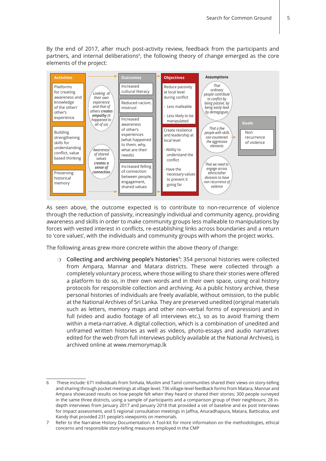By the end of 2017, after much post-activity review, feedback from the participants and partners, and internal deliberations<sup>6</sup>, the following theory of change emerged as the core elements of the project:



As seen above, the outcome expected is to contribute to non-recurrence of violence through the reduction of passivity, increasingly individual and community agency, providing awareness and skills in order to make community groups less malleable to manipulations by forces with vested interest in conflicts, re-establishing links across boundaries and a return to 'core values', with the individuals and community groups with whom the project works.

The following areas grew more concrete within the above theory of change:

❍ **Collecting and archiving people's histories<sup>7</sup> :** 354 personal histories were collected from Ampara, Mannar and Matara districts. These were collected through a completely voluntary process, where those willing to share their stories were offered a platform to do so, in their own words and in their own space, using oral history protocols for responsible collection and archiving. As a public history archive, these personal histories of individuals are freely available, without omission, to the public at the National Archives of Sri Lanka. They are preserved unedited (original materials such as letters, memory maps and other non-verbal forms of expression) and in full (video and audio footage of all interviews etc.), so as to avoid framing them within a meta-narrative. A digital collection, which is a combination of unedited and unframed written histories as well as videos, photo-essays and audio narratives edited for the web (from full interviews publicly available at the National Archives), is archived online at www.memorymap.lk

<sup>6</sup> These include: 671 individuals from Sinhala, Muslim and Tamil communities shared their views on story-telling and sharing through pocket meetings at village level; 736 village-level feedback forms from Matara, Mannar and Ampara showcased results on how people felt when they heard or shared their stories; 300 people surveyed in the same three districts, using a sample of participants and a comparison group of their neighbours; 28 indepth interviews from January 2017 and January 2018 that provided a set of baseline and ex post interviews for impact assessment, and 5 regional consultation meetings in Jaffna, Anuradhapura, Matara, Batticaloa, and Kandy that provided 231 people's viewpoints on memorials.

<sup>7</sup> Refer to the Narrative History Documentation: A Tool-kit for more information on the methodologies, ethical concerns and responsible story-telling measures employed in the CMP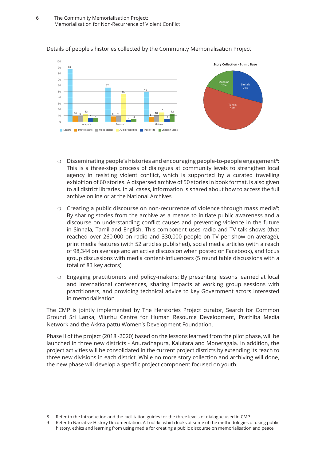#### 100 90 80 70  $60$ 50 40 30  $20$ 10  $\overline{0}$ **Letters Photo essays Video stories Audio recording Tree of life Children Map** Ampara **Mannar** Mannar Matara 87  $10^{10}$ 13 6 5 57 8 9 46 49  $10$ 15 4 12  $2^4$ **Story Collection - Ethnic Base** Muslims 20% | Sinhala 29% Tamils 51%

#### Details of people's histories collected by the Community Memorialisation Project

- ❍ **Disseminating people's histories and encouraging people-to-people engagement<sup>8</sup> :**  This is a three-step process of dialogues at community levels to strengthen local agency in resisting violent conflict, which is supported by a curated travelling exhibition of 60 stories. A dispersed archive of 50 stories in book format, is also given to all district libraries. In all cases, information is shared about how to access the full archive online or at the National Archives
- ❍ **Creating a public discourse on non-recurrence of violence through mass media<sup>9</sup> :**  By sharing stories from the archive as a means to initiate public awareness and a discourse on understanding conflict causes and preventing violence in the future in Sinhala, Tamil and English. This component uses radio and TV talk shows (that reached over 260,000 on radio and 330,000 people on TV per show on average), print media features (with 52 articles published), social media articles (with a reach of 98,344 on average and an active discussion when posted on Facebook), and focus group discussions with media content-influencers (5 round table discussions with a total of 83 key actors)
- ❍ **Engaging practitioners and policy-makers:** By presenting lessons learned at local and international conferences, sharing impacts at working group sessions with practitioners, and providing technical advice to key Government actors interested in memorialisation

The CMP is jointly implemented by The Herstories Project curator, Search for Common Ground Sri Lanka, Viluthu Centre for Human Resource Development, Prathiba Media Network and the Akkraipattu Women's Development Foundation.

Phase II of the project (2018 -2020) based on the lessons learned from the pilot phase, will be launched in three new districts - Anuradhapura, Kalutara and Moneragala. In addition, the project activities will be consolidated in the current project districts by extending its reach to three new divisions in each district. While no more story collection and archiving will done, the new phase will develop a specific project component focused on youth.

<sup>8</sup> Refer to the Introduction and the facilitation guides for the three levels of dialogue used in CMP

<sup>9</sup> Refer to Narrative History Documentation: A Tool-kit which looks at some of the methodologies of using public history, ethics and learning from using media for creating a public discourse on memorialisation and peace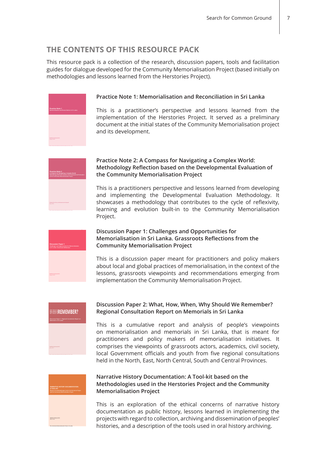## **THE CONTENTS OF THIS RESOURCE PACK**

This resource pack is a collection of the research, discussion papers, tools and facilitation guides for dialogue developed for the Community Memorialisation Project (based initially on methodologies and lessons learned from the Herstories Project).



#### **Practice Note 1: Memorialisation and Reconciliation in Sri Lanka**

This is a practitioner's perspective and lessons learned from the implementation of the Herstories Project. It served as a preliminary document at the initial states of the Community Memorialisation project and its development.



#### **Practice Note 2: A Compass for Navigating a Complex World: Methodology Reflection based on the Developmental Evaluation of the Community Memorialisation Project**

This is a practitioners perspective and lessons learned from developing and implementing the Developmental Evaluation Methodology. It showcases a methodology that contributes to the cycle of reflexivity, learning and evolution built-in to the Community Memorialisation Project.



#### **Discussion Paper 1: Challenges and Opportunities for Memorialisation in Sri Lanka. Grassroots Reflections from the Community Memorialisation Project**

This is a discussion paper meant for practitioners and policy makers about local and global practices of memorialisation, in the context of the lessons, grassroots viewpoints and recommendations emerging from implementation the Community Memorialisation Project.



### **Discussion Paper 2: What, How, When, Why Should We Remember? Regional Consultation Report on Memorials in Sri Lanka**

This is a cumulative report and analysis of people's viewpoints on memorialisation and memorials in Sri Lanka, that is meant for practitioners and policy makers of memorialisation initiatives. It comprises the viewpoints of grassroots actors, academics, civil society, local Government officials and youth from five regional consultations held in the North, East, North Central, South and Central Provinces.



#### **Narrative History Documentation: A Tool-kit based on the Methodologies used in the Herstories Project and the Community Memorialisation Project**

This is an exploration of the ethical concerns of narrative history documentation as public history, lessons learned in implementing the projects with regard to collection, archiving and dissemination of peoples' histories, and a description of the tools used in oral history archiving.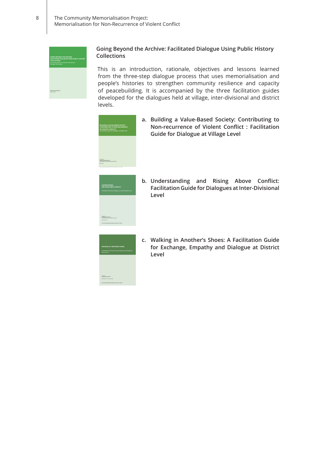

#### **Going Beyond the Archive: Facilitated Dialogue Using Public History Collections**

This is an introduction, rationale, objectives and lessons learned from the three-step dialogue process that uses memorialisation and people's histories to strengthen community resilience and capacity of peacebuilding. It is accompanied by the three facilitation guides developed for the dialogues held at village, inter-divisional and district levels.



**The Community Memorialisation Project, Sri Lanka**

**a. Building a Value-Based Society: Contributing to Non-recurrence of Violent Conflict : Facilitation Guide for Dialogue at Village Level** 



**b. Understanding and Rising Above Conflict: Facilitation Guide for Dialogues at Inter-Divisional Level**



**c. Walking in Another's Shoes: A Facilitation Guide for Exchange, Empathy and Dialogue at District Level**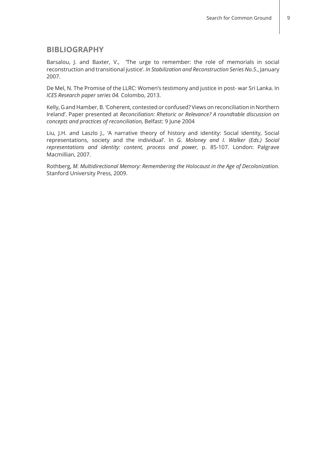### **BIBLIOGRAPHY**

Barsalou, J. and Baxter, V., 'The urge to remember: the role of memorials in social reconstruction and transitional justice'. *In Stabilization and Reconstruction Series No.5*., January 2007.

De Mel, N. The Promise of the LLRC: Women's testimony and justice in post- war Sri Lanka. In *ICES Research paper series 04.* Colombo, 2013.

Kelly, G and Hamber, B. 'Coherent, contested or confused? Views on reconciliation in Northern Ireland'. Paper presented at *Reconciliation: Rhetoric or Relevance? A roundtable discussion on concepts and practices of reconciliation,* Belfast: 9 June 2004

Liu, J.H. and Laszlo J., 'A narrative theory of history and identity: Social identity, Social representations, society and the individual'. In *G. Moloney and I. Walker (Eds.) Social representations and identity: content, process and power,* p. 85-107. London: Palgrave Macmillian, 2007.

Rothberg, *M. Multidirectional Memory: Remembering the Holocaust in the Age of Decolonization.* Stanford University Press, 2009.